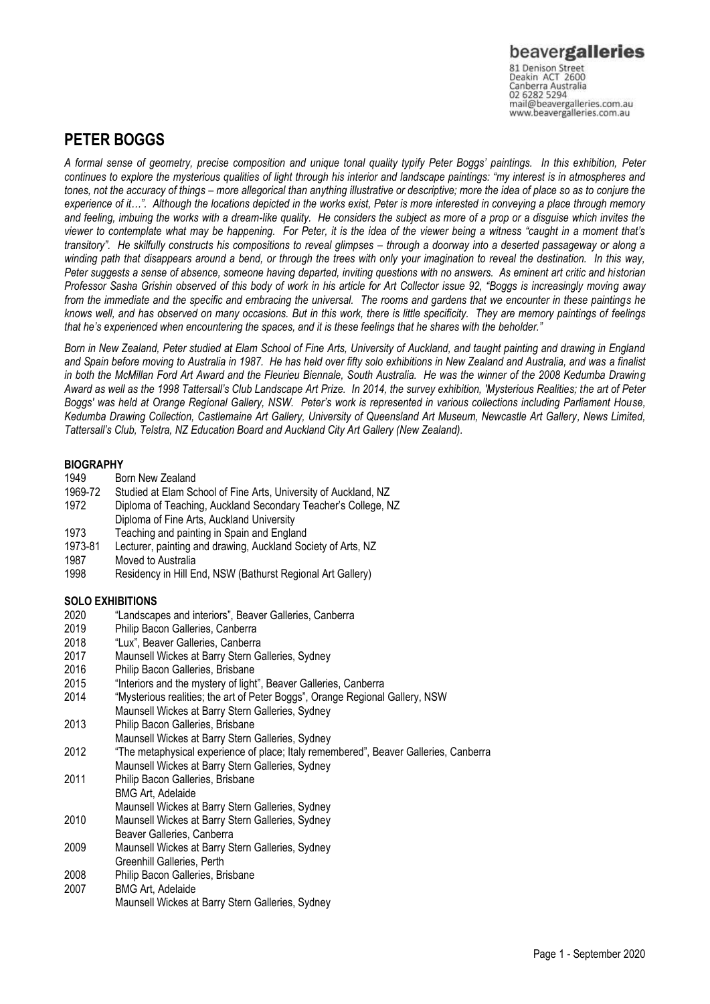81 Denison Street<br>Deakin ACT 2600 Canberra Australia mail@beavergalleries.com.au www.beavergalleries.com.au

### **PETER BOGGS**

*A formal sense of geometry, precise composition and unique tonal quality typify Peter Boggs' paintings. In this exhibition, Peter continues to explore the mysterious qualities of light through his interior and landscape paintings: "my interest is in atmospheres and tones, not the accuracy of things – more allegorical than anything illustrative or descriptive; more the idea of place so as to conjure the experience of it…". Although the locations depicted in the works exist, Peter is more interested in conveying a place through memory and feeling, imbuing the works with a dream-like quality. He considers the subject as more of a prop or a disguise which invites the viewer to contemplate what may be happening. For Peter, it is the idea of the viewer being a witness "caught in a moment that's transitory". He skilfully constructs his compositions to reveal glimpses – through a doorway into a deserted passageway or along a winding path that disappears around a bend, or through the trees with only your imagination to reveal the destination. In this way, Peter suggests a sense of absence, someone having departed, inviting questions with no answers. As eminent art critic and historian Professor Sasha Grishin observed of this body of work in his article for Art Collector issue 92, "Boggs is increasingly moving away from the immediate and the specific and embracing the universal. The rooms and gardens that we encounter in these paintings he knows well, and has observed on many occasions. But in this work, there is little specificity. They are memory paintings of feelings that he's experienced when encountering the spaces, and it is these feelings that he shares with the beholder."* 

*Born in New Zealand, Peter studied at Elam School of Fine Arts, University of Auckland, and taught painting and drawing in England and Spain before moving to Australia in 1987. He has held over fifty solo exhibitions in New Zealand and Australia, and was a finalist in both the McMillan Ford Art Award and the Fleurieu Biennale, South Australia. He was the winner of the 2008 Kedumba Drawing Award as well as the 1998 Tattersall's Club Landscape Art Prize. In 2014, the survey exhibition, 'Mysterious Realities; the art of Peter Boggs' was held at Orange Regional Gallery, NSW. Peter's work is represented in various collections including Parliament House, Kedumba Drawing Collection, Castlemaine Art Gallery, University of Queensland Art Museum, Newcastle Art Gallery, News Limited, Tattersall's Club, Telstra, NZ Education Board and Auckland City Art Gallery (New Zealand).*

### **BIOGRAPHY**

- 1949 Born New Zealand
- 1969-72 Studied at Elam School of Fine Arts, University of Auckland, NZ
- Diploma of Teaching, Auckland Secondary Teacher's College, NZ Diploma of Fine Arts, Auckland University
- 1973 Teaching and painting in Spain and England
- 1973-81 Lecturer, painting and drawing, Auckland Society of Arts, NZ<br>1987 Moved to Australia
- Moved to Australia
- 1998 Residency in Hill End, NSW (Bathurst Regional Art Gallery)

### **SOLO EXHIBITIONS**

- 2020 "Landscapes and interiors", Beaver Galleries, Canberra
- 2019 Philip Bacon Galleries, Canberra
- 2018 "Lux", Beaver Galleries, Canberra
- 2017 Maunsell Wickes at Barry Stern Galleries, Sydney
- 2016 Philip Bacon Galleries, Brisbane
- 2015 "Interiors and the mystery of light", Beaver Galleries, Canberra<br>2014 "Wysterious realities: the art of Peter Boggs", Orange Regional
- "Mysterious realities; the art of Peter Boggs", Orange Regional Gallery, NSW
- Maunsell Wickes at Barry Stern Galleries, Sydney
- 2013 Philip Bacon Galleries, Brisbane
- Maunsell Wickes at Barry Stern Galleries, Sydney
- 2012 "The metaphysical experience of place; Italy remembered", Beaver Galleries, Canberra Maunsell Wickes at Barry Stern Galleries, Sydney
- 2011 Philip Bacon Galleries, Brisbane
- BMG Art, Adelaide
- Maunsell Wickes at Barry Stern Galleries, Sydney
- 2010 Maunsell Wickes at Barry Stern Galleries, Sydney
- Beaver Galleries, Canberra
- 2009 Maunsell Wickes at Barry Stern Galleries, Sydney Greenhill Galleries, Perth
- 2008 Philip Bacon Galleries, Brisbane
- 2007 BMG Art, Adelaide Maunsell Wickes at Barry Stern Galleries, Sydney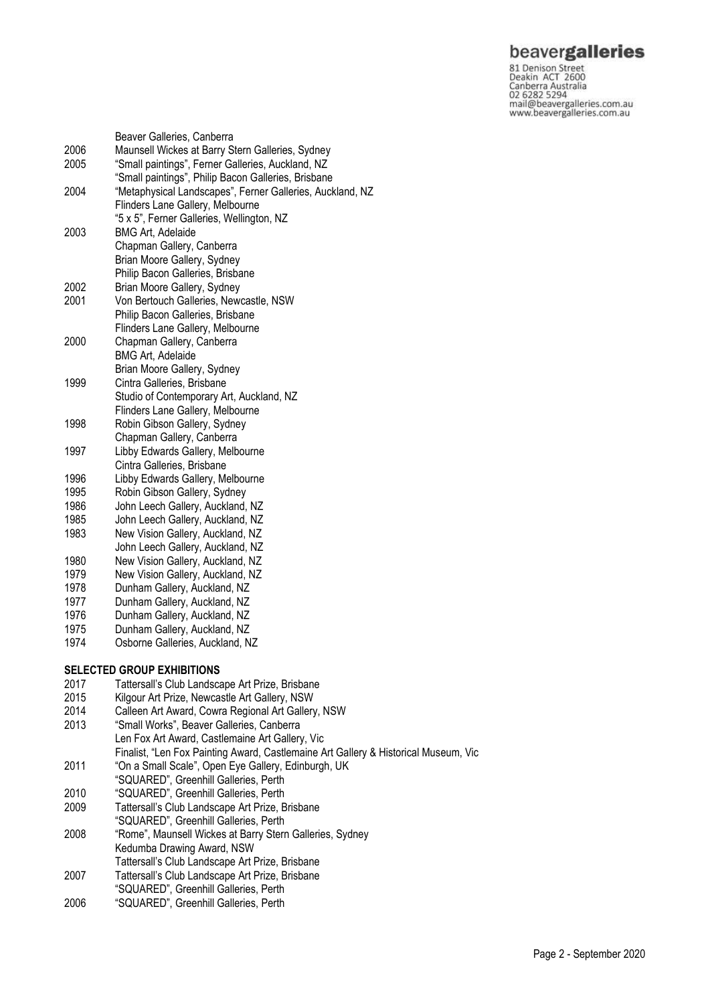81 Denison<br>
Star Denison<br>
Deakin ACT 2600<br>
Canberra Australia<br>
02 6282 5294<br>
mail@beavergalleries.com.au<br>
www.beavergalleries.com.au

|      | Beaver Galleries, Canberra                                |
|------|-----------------------------------------------------------|
| 2006 | Maunsell Wickes at Barry Stern Galleries, Sydney          |
| 2005 | "Small paintings", Ferner Galleries, Auckland, NZ         |
|      | "Small paintings", Philip Bacon Galleries, Brisbane       |
| 2004 | "Metaphysical Landscapes", Ferner Galleries, Auckland, NZ |
|      | Flinders Lane Gallery, Melbourne                          |
|      | "5 x 5", Ferner Galleries, Wellington, NZ                 |
| 2003 | <b>BMG Art, Adelaide</b>                                  |
|      | Chapman Gallery, Canberra                                 |
|      | Brian Moore Gallery, Sydney                               |
|      | Philip Bacon Galleries, Brisbane                          |
| 2002 | Brian Moore Gallery, Sydney                               |
| 2001 | Von Bertouch Galleries, Newcastle, NSW                    |
|      | Philip Bacon Galleries, Brisbane                          |
|      | Flinders Lane Gallery, Melbourne                          |
| 2000 | Chapman Gallery, Canberra                                 |
|      | <b>BMG Art, Adelaide</b>                                  |
|      | Brian Moore Gallery, Sydney                               |
| 1999 | Cintra Galleries, Brisbane                                |
|      | Studio of Contemporary Art, Auckland, NZ                  |
|      | Flinders Lane Gallery, Melbourne                          |
| 1998 | Robin Gibson Gallery, Sydney                              |
|      | Chapman Gallery, Canberra                                 |
| 1997 | Libby Edwards Gallery, Melbourne                          |
|      | Cintra Galleries, Brisbane                                |
| 1996 | Libby Edwards Gallery, Melbourne                          |
| 1995 | Robin Gibson Gallery, Sydney                              |
| 1986 | John Leech Gallery, Auckland, NZ                          |
| 1985 | John Leech Gallery, Auckland, NZ                          |
| 1983 | New Vision Gallery, Auckland, NZ                          |
|      | John Leech Gallery, Auckland, NZ                          |
| 1980 | New Vision Gallery, Auckland, NZ                          |
| 1979 | New Vision Gallery, Auckland, NZ                          |
| 1978 | Dunham Gallery, Auckland, NZ                              |
| 1977 | Dunham Gallery, Auckland, NZ                              |
| 1976 | Dunham Gallery, Auckland, NZ                              |
| 1975 | Dunham Gallery, Auckland, NZ                              |
| 1974 | Osborne Galleries, Auckland, NZ                           |
|      |                                                           |
|      | <b>SELECTED GROUP EXHIBITIONS</b>                         |
| 2017 | Tattersall's Club Landscape Art Prize, Brisbane           |
| 2015 | Kilgour Art Prize, Newcastle Art Gallery, NSW             |
| 2014 | Calleen Art Award, Cowra Regional Art Gallery, NSW        |
| 2013 | "Small Works", Beaver Galleries, Canberra                 |
|      | Len Fox Art Award, Castlemaine Art Gallery, Vic           |
|      |                                                           |

- Finalist, "Len Fox Painting Award, Castlemaine Art Gallery & Historical Museum, Vic
- 2011 "On a Small Scale", Open Eye Gallery, Edinburgh, UK
- "SQUARED", Greenhill Galleries, Perth
- 2010 "SQUARED", Greenhill Galleries, Perth
- 2009 Tattersall's Club Landscape Art Prize, Brisbane "SQUARED", Greenhill Galleries, Perth
- 2008 "Rome", Maunsell Wickes at Barry Stern Galleries, Sydney Kedumba Drawing Award, NSW
- Tattersall's Club Landscape Art Prize, Brisbane
- 2007 Tattersall's Club Landscape Art Prize, Brisbane
- "SQUARED", Greenhill Galleries, Perth
- 2006 "SQUARED", Greenhill Galleries, Perth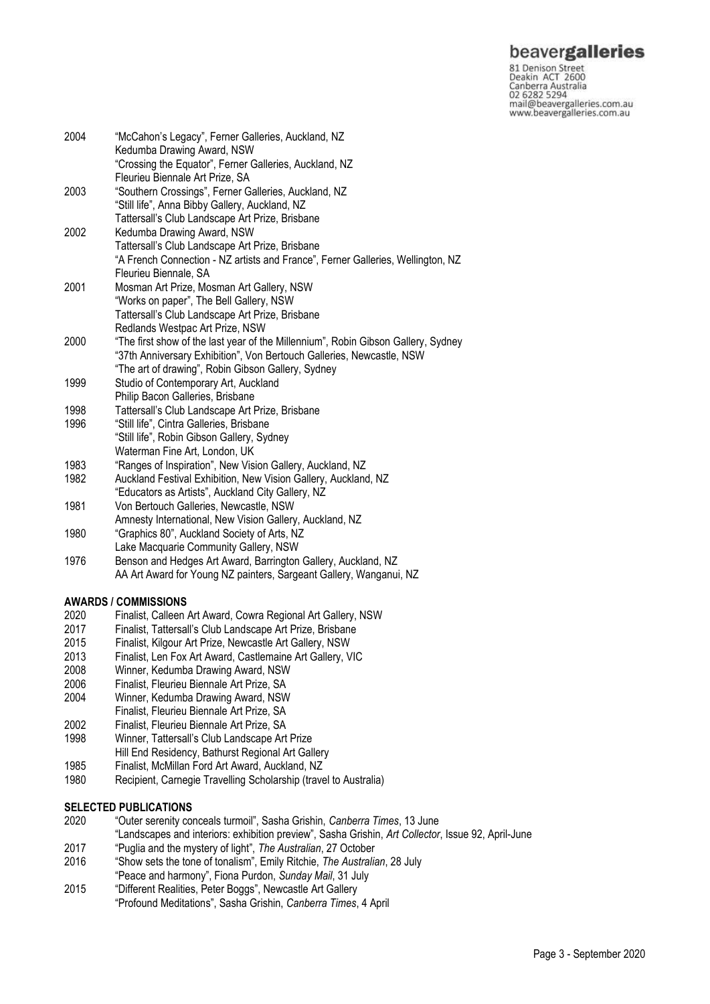81 Denison Street<br>Deakin ACT 2600 Canberra Australia<br>02 6282 5294<br>mail@beavergalleries.com.au www.beavergalleries.com.au

| 2004 | "McCahon's Legacy", Ferner Galleries, Auckland, NZ<br>Kedumba Drawing Award, NSW          |
|------|-------------------------------------------------------------------------------------------|
|      | "Crossing the Equator", Ferner Galleries, Auckland, NZ<br>Fleurieu Biennale Art Prize, SA |
| 2003 | "Southern Crossings", Ferner Galleries, Auckland, NZ                                      |
|      | "Still life", Anna Bibby Gallery, Auckland, NZ                                            |
|      | Tattersall's Club Landscape Art Prize, Brisbane                                           |
| 2002 | Kedumba Drawing Award, NSW                                                                |
|      | Tattersall's Club Landscape Art Prize, Brisbane                                           |
|      | "A French Connection - NZ artists and France", Ferner Galleries, Wellington, NZ           |
|      | Fleurieu Biennale, SA                                                                     |
| 2001 | Mosman Art Prize, Mosman Art Gallery, NSW                                                 |
|      | "Works on paper", The Bell Gallery, NSW                                                   |
|      | Tattersall's Club Landscape Art Prize, Brisbane                                           |
|      | Redlands Westpac Art Prize, NSW                                                           |
| 2000 | "The first show of the last year of the Millennium", Robin Gibson Gallery, Sydney         |
|      | "37th Anniversary Exhibition", Von Bertouch Galleries, Newcastle, NSW                     |
|      | "The art of drawing", Robin Gibson Gallery, Sydney                                        |
| 1999 | Studio of Contemporary Art, Auckland                                                      |
|      | Philip Bacon Galleries, Brisbane                                                          |
| 1998 | Tattersall's Club Landscape Art Prize, Brisbane                                           |
| 1996 | "Still life", Cintra Galleries, Brisbane                                                  |
|      | "Still life", Robin Gibson Gallery, Sydney                                                |
|      | Waterman Fine Art, London, UK                                                             |
| 1983 | "Ranges of Inspiration", New Vision Gallery, Auckland, NZ                                 |
| 1982 | Auckland Festival Exhibition, New Vision Gallery, Auckland, NZ                            |
|      | "Educators as Artists", Auckland City Gallery, NZ                                         |
| 1981 | Von Bertouch Galleries, Newcastle, NSW                                                    |
|      | Amnesty International, New Vision Gallery, Auckland, NZ                                   |
| 1980 | "Graphics 80", Auckland Society of Arts, NZ                                               |
|      | Lake Macquarie Community Gallery, NSW                                                     |

1976 Benson and Hedges Art Award, Barrington Gallery, Auckland, NZ AA Art Award for Young NZ painters, Sargeant Gallery, Wanganui, NZ

### **AWARDS / COMMISSIONS**

- 2020 Finalist, Calleen Art Award, Cowra Regional Art Gallery, NSW
- 2017 Finalist, Tattersall's Club Landscape Art Prize, Brisbane
- 2015 Finalist, Kilgour Art Prize, Newcastle Art Gallery, NSW
- 2013 Finalist, Len Fox Art Award, Castlemaine Art Gallery, VIC
- 2008 Winner, Kedumba Drawing Award, NSW
- 2006 Finalist, Fleurieu Biennale Art Prize, SA
- Winner, Kedumba Drawing Award, NSW
- Finalist, Fleurieu Biennale Art Prize, SA
- 2002 Finalist, Fleurieu Biennale Art Prize, SA
- 1998 Winner, Tattersall's Club Landscape Art Prize
- Hill End Residency, Bathurst Regional Art Gallery
- 1985 Finalist, McMillan Ford Art Award, Auckland, NZ
- 1980 Recipient, Carnegie Travelling Scholarship (travel to Australia)

#### **SELECTED PUBLICATIONS**

- 2020 "Outer serenity conceals turmoil", Sasha Grishin, *Canberra Times*, 13 June
- "Landscapes and interiors: exhibition preview", Sasha Grishin, *Art Collector*, Issue 92, April-June
- 2017 "Puglia and the mystery of light", *The Australian*, 27 October
- 2016 "Show sets the tone of tonalism", Emily Ritchie, *The Australian*, 28 July
- "Peace and harmony", Fiona Purdon, *Sunday Mail*, 31 July
- 2015 "Different Realities, Peter Boggs", Newcastle Art Gallery "Profound Meditations", Sasha Grishin, *Canberra Times*, 4 April